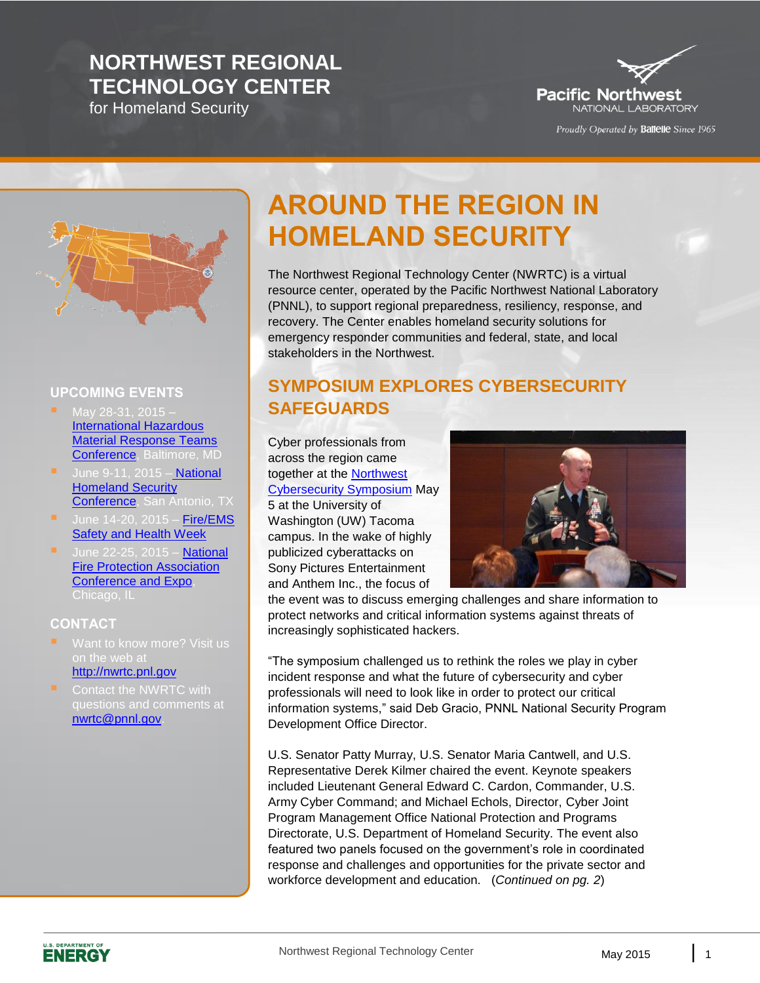## **NORTHWEST REGIONAL TECHNOLOGY CENTER**

for Homeland Security



Proudly Operated by Battelle Since 1965



#### **UPCOMING EVENTS**

- $\blacksquare$  May 28-31, 2015 [International Hazardous](http://www.iafc.org/hazmat)  [Material Response Teams](http://www.iafc.org/hazmat)  [Conference,](http://www.iafc.org/hazmat) Baltimore, MD
- June 9-11, 2015 National Homeland Security [Conference,](http://nationaluasi.com/dru/) San Antonio, TX
- June  $14-20$ ,  $2015 -$  Fire/EMS [Safety and Health Week](http://www.safetyandhealthweek.org/)
- June 22-25, 2015 National [Fire Protection Association](http://www.nfpa.org/training/conference)  [Conference and Expo,](http://www.nfpa.org/training/conference)

#### **CONTACT**

- Want to know more? Visit us on the web at [http://nwrtc.pnl.gov](http://nwrtc.pnl.gov/)
- questions and comments at [nwrtc@pnnl.gov.](mailto:nwrtc@pnnl.gov)

# **AROUND THE REGION IN HOMELAND SECURITY**

The Northwest Regional Technology Center (NWRTC) is a virtual resource center, operated by the Pacific Northwest National Laboratory (PNNL), to support regional preparedness, resiliency, response, and recovery. The Center enables homeland security solutions for emergency responder communities and federal, state, and local stakeholders in the Northwest.

#### **SYMPOSIUM EXPLORES CYBERSECURITY SAFEGUARDS**

Cyber professionals from across the region came together at the [Northwest](http://www.tacoma.uw.edu/chancellor/northwest-cybersecurity-symposium)  [Cybersecurity Symposium](http://www.tacoma.uw.edu/chancellor/northwest-cybersecurity-symposium) May 5 at the University of Washington (UW) Tacoma campus. In the wake of highly publicized cyberattacks on Sony Pictures Entertainment and Anthem Inc., the focus of



the event was to discuss emerging challenges and share information to protect networks and critical information systems against threats of increasingly sophisticated hackers.

"The symposium challenged us to rethink the roles we play in cyber incident response and what the future of cybersecurity and cyber professionals will need to look like in order to protect our critical information systems," said Deb Gracio, PNNL National Security Program Development Office Director.

U.S. Senator Patty Murray, U.S. Senator Maria Cantwell, and U.S. Representative Derek Kilmer chaired the event. Keynote speakers included Lieutenant General Edward C. Cardon, Commander, U.S. Army Cyber Command; and Michael Echols, Director, Cyber Joint Program Management Office National Protection and Programs Directorate, U.S. Department of Homeland Security. The event also featured two panels focused on the government's role in coordinated response and challenges and opportunities for the private sector and workforce development and education. (*Continued on pg. 2*)